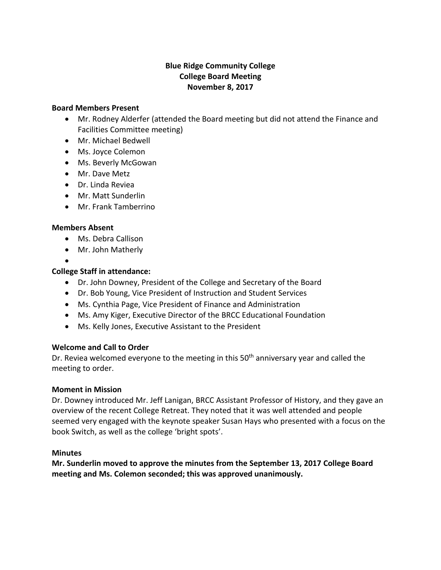# **Blue Ridge Community College College Board Meeting November 8, 2017**

#### **Board Members Present**

- Mr. Rodney Alderfer (attended the Board meeting but did not attend the Finance and Facilities Committee meeting)
- Mr. Michael Bedwell
- Ms. Joyce Colemon
- Ms. Beverly McGowan
- Mr. Dave Metz
- Dr. Linda Reviea
- Mr. Matt Sunderlin
- Mr. Frank Tamberrino

## **Members Absent**

- Ms. Debra Callison
- Mr. John Matherly

#### $\bullet$ **College Staff in attendance:**

- Dr. John Downey, President of the College and Secretary of the Board
- Dr. Bob Young, Vice President of Instruction and Student Services
- Ms. Cynthia Page, Vice President of Finance and Administration
- Ms. Amy Kiger, Executive Director of the BRCC Educational Foundation
- Ms. Kelly Jones, Executive Assistant to the President

# **Welcome and Call to Order**

Dr. Reviea welcomed everyone to the meeting in this  $50<sup>th</sup>$  anniversary year and called the meeting to order.

### **Moment in Mission**

Dr. Downey introduced Mr. Jeff Lanigan, BRCC Assistant Professor of History, and they gave an overview of the recent College Retreat. They noted that it was well attended and people seemed very engaged with the keynote speaker Susan Hays who presented with a focus on the book Switch, as well as the college 'bright spots'.

### **Minutes**

**Mr. Sunderlin moved to approve the minutes from the September 13, 2017 College Board meeting and Ms. Colemon seconded; this was approved unanimously.**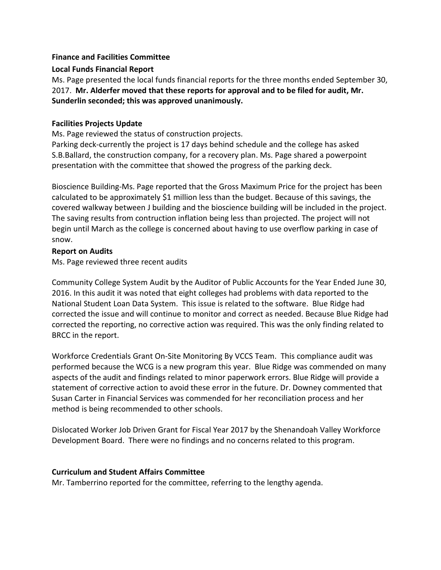## **Finance and Facilities Committee**

## **Local Funds Financial Report**

Ms. Page presented the local funds financial reports for the three months ended September 30, 2017. **Mr. Alderfer moved that these reports for approval and to be filed for audit, Mr. Sunderlin seconded; this was approved unanimously.**

## **Facilities Projects Update**

Ms. Page reviewed the status of construction projects.

Parking deck-currently the project is 17 days behind schedule and the college has asked S.B.Ballard, the construction company, for a recovery plan. Ms. Page shared a powerpoint presentation with the committee that showed the progress of the parking deck.

Bioscience Building-Ms. Page reported that the Gross Maximum Price for the project has been calculated to be approximately \$1 million less than the budget. Because of this savings, the covered walkway between J building and the bioscience building will be included in the project. The saving results from contruction inflation being less than projected. The project will not begin until March as the college is concerned about having to use overflow parking in case of snow.

## **Report on Audits**

Ms. Page reviewed three recent audits

Community College System Audit by the Auditor of Public Accounts for the Year Ended June 30, 2016. In this audit it was noted that eight colleges had problems with data reported to the National Student Loan Data System. This issue is related to the software. Blue Ridge had corrected the issue and will continue to monitor and correct as needed. Because Blue Ridge had corrected the reporting, no corrective action was required. This was the only finding related to BRCC in the report.

Workforce Credentials Grant On-Site Monitoring By VCCS Team. This compliance audit was performed because the WCG is a new program this year. Blue Ridge was commended on many aspects of the audit and findings related to minor paperwork errors. Blue Ridge will provide a statement of corrective action to avoid these error in the future. Dr. Downey commented that Susan Carter in Financial Services was commended for her reconciliation process and her method is being recommended to other schools.

Dislocated Worker Job Driven Grant for Fiscal Year 2017 by the Shenandoah Valley Workforce Development Board. There were no findings and no concerns related to this program.

# **Curriculum and Student Affairs Committee**

Mr. Tamberrino reported for the committee, referring to the lengthy agenda.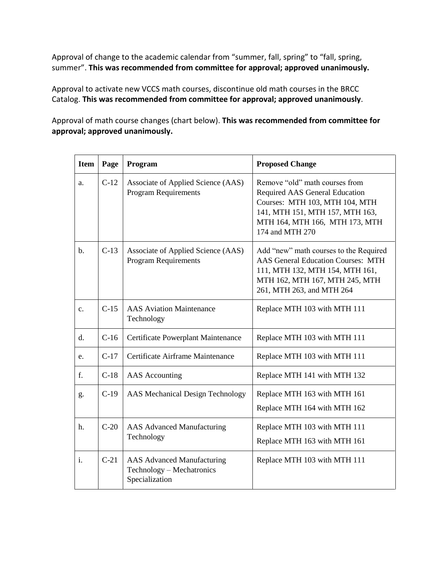Approval of change to the academic calendar from "summer, fall, spring" to "fall, spring, summer". **This was recommended from committee for approval; approved unanimously.**

Approval to activate new VCCS math courses, discontinue old math courses in the BRCC Catalog. **This was recommended from committee for approval; approved unanimously**.

Approval of math course changes (chart below). **This was recommended from committee for approval; approved unanimously.**

| <b>Item</b>    | Page   | Program                                                                          | <b>Proposed Change</b>                                                                                                                                                                     |
|----------------|--------|----------------------------------------------------------------------------------|--------------------------------------------------------------------------------------------------------------------------------------------------------------------------------------------|
| a.             | $C-12$ | Associate of Applied Science (AAS)<br><b>Program Requirements</b>                | Remove "old" math courses from<br>Required AAS General Education<br>Courses: MTH 103, MTH 104, MTH<br>141, MTH 151, MTH 157, MTH 163,<br>MTH 164, MTH 166, MTH 173, MTH<br>174 and MTH 270 |
| $\mathbf{b}$ . | $C-13$ | Associate of Applied Science (AAS)<br>Program Requirements                       | Add "new" math courses to the Required<br><b>AAS General Education Courses: MTH</b><br>111, MTH 132, MTH 154, MTH 161,<br>MTH 162, MTH 167, MTH 245, MTH<br>261, MTH 263, and MTH 264      |
| $\mathbf{c}$ . | $C-15$ | <b>AAS</b> Aviation Maintenance<br>Technology                                    | Replace MTH 103 with MTH 111                                                                                                                                                               |
| $d_{\cdot}$    | $C-16$ | Certificate Powerplant Maintenance                                               | Replace MTH 103 with MTH 111                                                                                                                                                               |
| e.             | $C-17$ | Certificate Airframe Maintenance                                                 | Replace MTH 103 with MTH 111                                                                                                                                                               |
| f.             | $C-18$ | <b>AAS</b> Accounting                                                            | Replace MTH 141 with MTH 132                                                                                                                                                               |
| g.             | $C-19$ | AAS Mechanical Design Technology                                                 | Replace MTH 163 with MTH 161<br>Replace MTH 164 with MTH 162                                                                                                                               |
| h.             | $C-20$ | <b>AAS</b> Advanced Manufacturing<br>Technology                                  | Replace MTH 103 with MTH 111<br>Replace MTH 163 with MTH 161                                                                                                                               |
| $\mathbf{i}$ . | $C-21$ | <b>AAS</b> Advanced Manufacturing<br>Technology - Mechatronics<br>Specialization | Replace MTH 103 with MTH 111                                                                                                                                                               |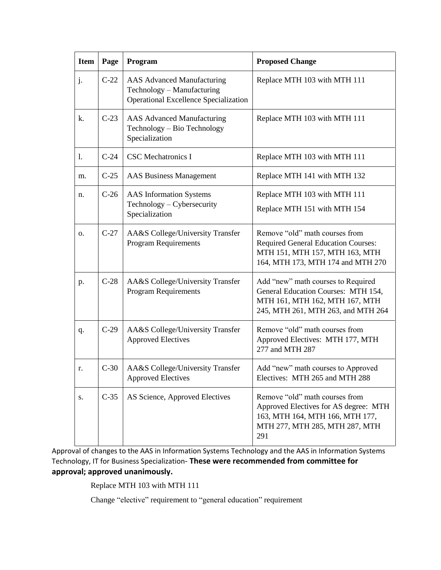| <b>Item</b> | Page   | Program                                                                                                  | <b>Proposed Change</b>                                                                                                                              |
|-------------|--------|----------------------------------------------------------------------------------------------------------|-----------------------------------------------------------------------------------------------------------------------------------------------------|
| j.          | $C-22$ | AAS Advanced Manufacturing<br>Technology - Manufacturing<br><b>Operational Excellence Specialization</b> | Replace MTH 103 with MTH 111                                                                                                                        |
| k.          | $C-23$ | <b>AAS Advanced Manufacturing</b><br>Technology - Bio Technology<br>Specialization                       | Replace MTH 103 with MTH 111                                                                                                                        |
| 1.          | $C-24$ | <b>CSC</b> Mechatronics I                                                                                | Replace MTH 103 with MTH 111                                                                                                                        |
| m.          | $C-25$ | <b>AAS Business Management</b>                                                                           | Replace MTH 141 with MTH 132                                                                                                                        |
| n.          | $C-26$ | <b>AAS</b> Information Systems<br>Technology - Cybersecurity<br>Specialization                           | Replace MTH 103 with MTH 111<br>Replace MTH 151 with MTH 154                                                                                        |
| 0.          | $C-27$ | AA&S College/University Transfer<br><b>Program Requirements</b>                                          | Remove "old" math courses from<br><b>Required General Education Courses:</b><br>MTH 151, MTH 157, MTH 163, MTH<br>164, MTH 173, MTH 174 and MTH 270 |
| p.          | $C-28$ | AA&S College/University Transfer<br><b>Program Requirements</b>                                          | Add "new" math courses to Required<br>General Education Courses: MTH 154,<br>MTH 161, MTH 162, MTH 167, MTH<br>245, MTH 261, MTH 263, and MTH 264   |
| q.          | $C-29$ | AA&S College/University Transfer<br><b>Approved Electives</b>                                            | Remove "old" math courses from<br>Approved Electives: MTH 177, MTH<br>277 and MTH 287                                                               |
| r.          | $C-30$ | AA&S College/University Transfer<br><b>Approved Electives</b>                                            | Add "new" math courses to Approved<br>Electives: MTH 265 and MTH 288                                                                                |
| S.          | $C-35$ | AS Science, Approved Electives                                                                           | Remove "old" math courses from<br>Approved Electives for AS degree: MTH<br>163, MTH 164, MTH 166, MTH 177,<br>MTH 277, MTH 285, MTH 287, MTH<br>291 |

Approval of changes to the AAS in Information Systems Technology and the AAS in Information Systems Technology, IT for Business Specialization- **These were recommended from committee for approval; approved unanimously.**

Replace MTH 103 with MTH 111

Change "elective" requirement to "general education" requirement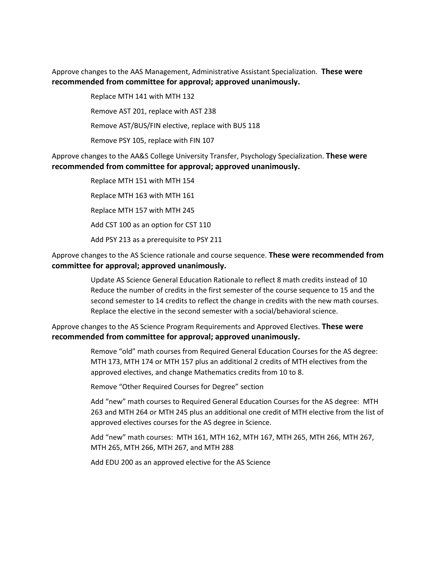Approve changes to the AAS Management, Administrative Assistant Specialization. **These were recommended from committee for approval; approved unanimously.**

> Replace MTH 141 with MTH 132 Remove AST 201, replace with AST 238 Remove AST/BUS/FIN elective, replace with BUS 118 Remove PSY 105, replace with FIN 107

Approve changes to the AA&S College University Transfer, Psychology Specialization. **These were recommended from committee for approval; approved unanimously.**

> Replace MTH 151 with MTH 154 Replace MTH 163 with MTH 161 Replace MTH 157 with MTH 245 Add CST 100 as an option for CST 110 Add PSY 213 as a prerequisite to PSY 211

### Approve changes to the AS Science rationale and course sequence. **These were recommended from committee for approval; approved unanimously.**

Update AS Science General Education Rationale to reflect 8 math credits instead of 10 Reduce the number of credits in the first semester of the course sequence to 15 and the second semester to 14 credits to reflect the change in credits with the new math courses. Replace the elective in the second semester with a social/behavioral science.

Approve changes to the AS Science Program Requirements and Approved Electives. **These were recommended from committee for approval; approved unanimously.**

> Remove "old" math courses from Required General Education Courses for the AS degree: MTH 173, MTH 174 or MTH 157 plus an additional 2 credits of MTH electives from the approved electives, and change Mathematics credits from 10 to 8.

Remove "Other Required Courses for Degree" section

Add "new" math courses to Required General Education Courses for the AS degree: MTH 263 and MTH 264 or MTH 245 plus an additional one credit of MTH elective from the list of approved electives courses for the AS degree in Science.

Add "new" math courses: MTH 161, MTH 162, MTH 167, MTH 265, MTH 266, MTH 267, MTH 265, MTH 266, MTH 267, and MTH 288

Add EDU 200 as an approved elective for the AS Science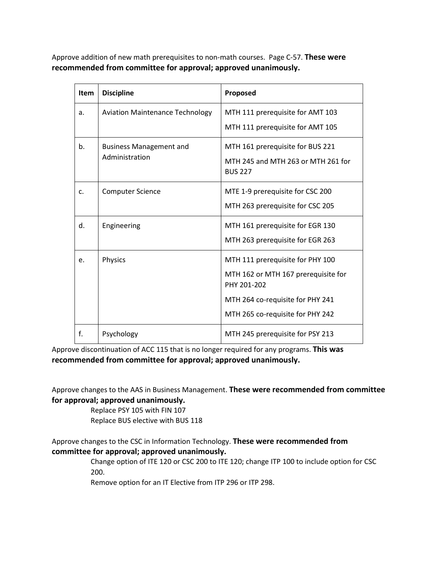Approve addition of new math prerequisites to non-math courses. Page C-57. **These were recommended from committee for approval; approved unanimously.**

| <b>Item</b>    | <b>Discipline</b>                      | Proposed                                             |
|----------------|----------------------------------------|------------------------------------------------------|
| a.             | <b>Aviation Maintenance Technology</b> | MTH 111 prerequisite for AMT 103                     |
|                |                                        | MTH 111 prerequisite for AMT 105                     |
| b.             | <b>Business Management and</b>         | MTH 161 prerequisite for BUS 221                     |
|                | Administration                         | MTH 245 and MTH 263 or MTH 261 for<br><b>BUS 227</b> |
| $\mathsf{C}$ . | <b>Computer Science</b>                | MTE 1-9 prerequisite for CSC 200                     |
|                |                                        | MTH 263 prerequisite for CSC 205                     |
| d.             | Engineering                            | MTH 161 prerequisite for EGR 130                     |
|                |                                        | MTH 263 prerequisite for EGR 263                     |
| e.             | Physics                                | MTH 111 prerequisite for PHY 100                     |
|                |                                        | MTH 162 or MTH 167 prerequisite for<br>PHY 201-202   |
|                |                                        | MTH 264 co-requisite for PHY 241                     |
|                |                                        | MTH 265 co-requisite for PHY 242                     |
| f.             | Psychology                             | MTH 245 prerequisite for PSY 213                     |

Approve discontinuation of ACC 115 that is no longer required for any programs. **This was recommended from committee for approval; approved unanimously.**

Approve changes to the AAS in Business Management. **These were recommended from committee for approval; approved unanimously.**

Replace PSY 105 with FIN 107

Replace BUS elective with BUS 118

# Approve changes to the CSC in Information Technology. **These were recommended from committee for approval; approved unanimously.**

Change option of ITE 120 or CSC 200 to ITE 120; change ITP 100 to include option for CSC 200.

Remove option for an IT Elective from ITP 296 or ITP 298.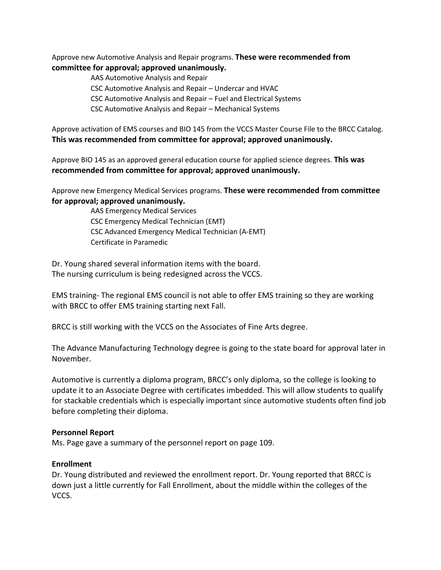Approve new Automotive Analysis and Repair programs. **These were recommended from committee for approval; approved unanimously.**

AAS Automotive Analysis and Repair

CSC Automotive Analysis and Repair – Undercar and HVAC

CSC Automotive Analysis and Repair – Fuel and Electrical Systems

CSC Automotive Analysis and Repair – Mechanical Systems

Approve activation of EMS courses and BIO 145 from the VCCS Master Course File to the BRCC Catalog. **This was recommended from committee for approval; approved unanimously.**

Approve BIO 145 as an approved general education course for applied science degrees. **This was recommended from committee for approval; approved unanimously.**

Approve new Emergency Medical Services programs. **These were recommended from committee for approval; approved unanimously.**

> AAS Emergency Medical Services CSC Emergency Medical Technician (EMT) CSC Advanced Emergency Medical Technician (A-EMT) Certificate in Paramedic

Dr. Young shared several information items with the board. The nursing curriculum is being redesigned across the VCCS.

EMS training- The regional EMS council is not able to offer EMS training so they are working with BRCC to offer EMS training starting next Fall.

BRCC is still working with the VCCS on the Associates of Fine Arts degree.

The Advance Manufacturing Technology degree is going to the state board for approval later in November.

Automotive is currently a diploma program, BRCC's only diploma, so the college is looking to update it to an Associate Degree with certificates imbedded. This will allow students to qualify for stackable credentials which is especially important since automotive students often find job before completing their diploma.

### **Personnel Report**

Ms. Page gave a summary of the personnel report on page 109.

### **Enrollment**

Dr. Young distributed and reviewed the enrollment report. Dr. Young reported that BRCC is down just a little currently for Fall Enrollment, about the middle within the colleges of the VCCS.